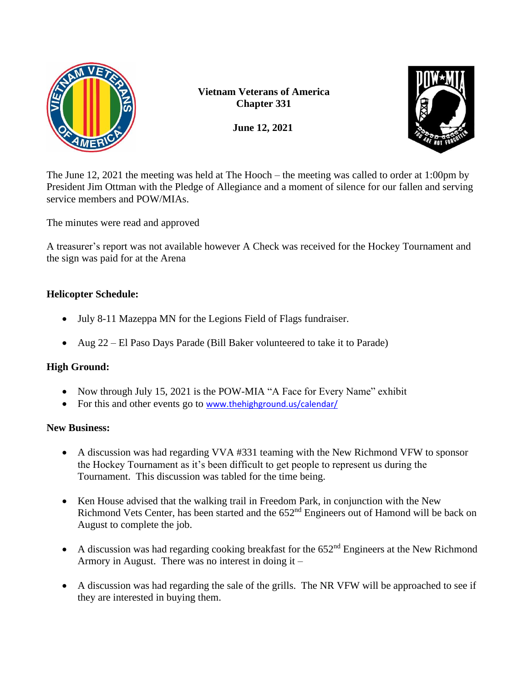

**Vietnam Veterans of America Chapter 331**

**June 12, 2021**



The June 12, 2021 the meeting was held at The Hooch – the meeting was called to order at 1:00pm by President Jim Ottman with the Pledge of Allegiance and a moment of silence for our fallen and serving service members and POW/MIAs.

The minutes were read and approved

A treasurer's report was not available however A Check was received for the Hockey Tournament and the sign was paid for at the Arena

# **Helicopter Schedule:**

- July 8-11 Mazeppa MN for the Legions Field of Flags fundraiser.
- Aug 22 El Paso Days Parade (Bill Baker volunteered to take it to Parade)

## **High Ground:**

- Now through July 15, 2021 is the POW-MIA "A Face for Every Name" exhibit
- For this and other events go to [www.thehighground.us/calendar/](http://www.thehighground.us/calendar/)

#### **New Business:**

- A discussion was had regarding VVA #331 teaming with the New Richmond VFW to sponsor the Hockey Tournament as it's been difficult to get people to represent us during the Tournament. This discussion was tabled for the time being.
- Ken House advised that the walking trail in Freedom Park, in conjunction with the New Richmond Vets Center, has been started and the  $652<sup>nd</sup>$  Engineers out of Hamond will be back on August to complete the job.
- A discussion was had regarding cooking breakfast for the  $652<sup>nd</sup>$  Engineers at the New Richmond Armory in August. There was no interest in doing it –
- A discussion was had regarding the sale of the grills. The NR VFW will be approached to see if they are interested in buying them.